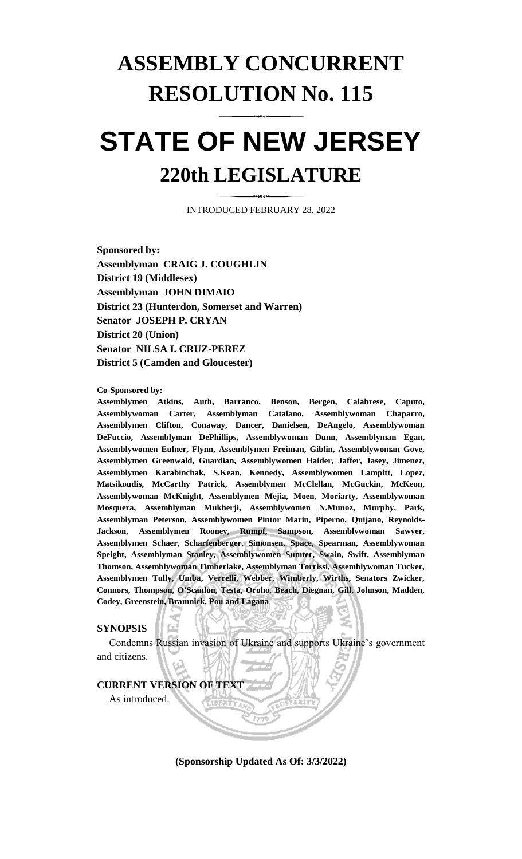# **ASSEMBLY CONCURRENT RESOLUTION No. 115**

# **STATE OF NEW JERSEY 220th LEGISLATURE**

INTRODUCED FEBRUARY 28, 2022

**Sponsored by: Assemblyman CRAIG J. COUGHLIN District 19 (Middlesex) Assemblyman JOHN DIMAIO District 23 (Hunterdon, Somerset and Warren) Senator JOSEPH P. CRYAN District 20 (Union) Senator NILSA I. CRUZ-PEREZ District 5 (Camden and Gloucester)**

**Co-Sponsored by:**

**Assemblymen Atkins, Auth, Barranco, Benson, Bergen, Calabrese, Caputo, Assemblywoman Carter, Assemblyman Catalano, Assemblywoman Chaparro, Assemblymen Clifton, Conaway, Dancer, Danielsen, DeAngelo, Assemblywoman DeFuccio, Assemblyman DePhillips, Assemblywoman Dunn, Assemblyman Egan, Assemblywomen Eulner, Flynn, Assemblymen Freiman, Giblin, Assemblywoman Gove, Assemblymen Greenwald, Guardian, Assemblywomen Haider, Jaffer, Jasey, Jimenez, Assemblymen Karabinchak, S.Kean, Kennedy, Assemblywomen Lampitt, Lopez, Matsikoudis, McCarthy Patrick, Assemblymen McClellan, McGuckin, McKeon, Assemblywoman McKnight, Assemblymen Mejia, Moen, Moriarty, Assemblywoman Mosquera, Assemblyman Mukherji, Assemblywomen N.Munoz, Murphy, Park, Assemblyman Peterson, Assemblywomen Pintor Marin, Piperno, Quijano, Reynolds-Jackson, Assemblymen Rooney, Rumpf, Sampson, Assemblywoman Sawyer, Assemblymen Schaer, Scharfenberger, Simonsen, Space, Spearman, Assemblywoman Speight, Assemblyman Stanley, Assemblywomen Sumter, Swain, Swift, Assemblyman Thomson, Assemblywoman Timberlake, Assemblyman Torrissi, Assemblywoman Tucker, Assemblymen Tully, Umba, Verrelli, Webber, Wimberly, Wirths, Senators Zwicker, Connors, Thompson, O'Scanlon, Testa, Oroho, Beach, Diegnan, Gill, Johnson, Madden, Codey, Greenstein, Bramnick, Pou and Lagana**

# **SYNOPSIS**

Condemns Russian invasion of Ukraine and supports Ukraine's government and citizens.

#### **CURRENT VERSION OF TEXT**

As introduced.

**(Sponsorship Updated As Of: 3/3/2022)**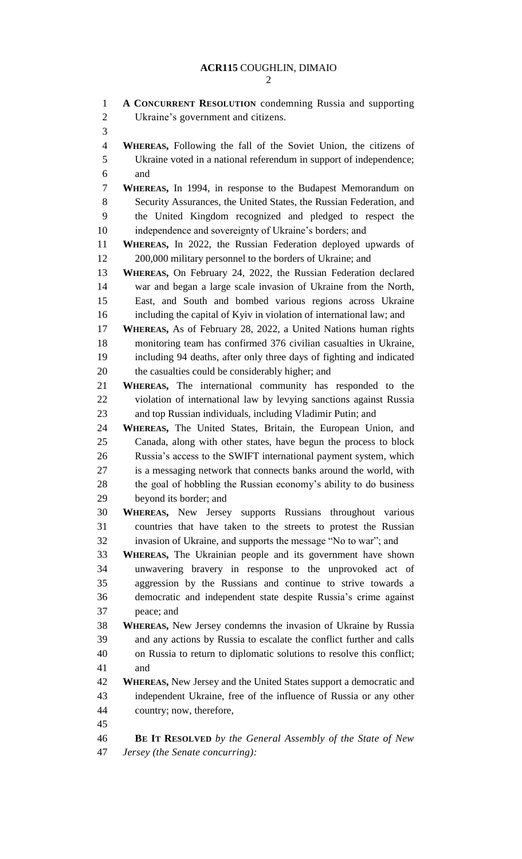| $\mathbf{1}$<br>$\overline{2}$ | A CONCURRENT RESOLUTION condemning Russia and supporting<br>Ukraine's government and citizens.                                        |
|--------------------------------|---------------------------------------------------------------------------------------------------------------------------------------|
| 3                              |                                                                                                                                       |
| $\overline{4}$                 | <b>WHEREAS,</b> Following the fall of the Soviet Union, the citizens of                                                               |
| 5                              | Ukraine voted in a national referendum in support of independence;                                                                    |
| 6                              | and                                                                                                                                   |
| 7                              | <b>WHEREAS, In 1994, in response to the Budapest Memorandum on</b>                                                                    |
| 8                              | Security Assurances, the United States, the Russian Federation, and                                                                   |
| 9                              | the United Kingdom recognized and pledged to respect the                                                                              |
| 10                             | independence and sovereignty of Ukraine's borders; and                                                                                |
| 11                             | WHEREAS, In 2022, the Russian Federation deployed upwards of                                                                          |
| 12                             | 200,000 military personnel to the borders of Ukraine; and                                                                             |
| 13                             | WHEREAS, On February 24, 2022, the Russian Federation declared                                                                        |
| 14                             | war and began a large scale invasion of Ukraine from the North,                                                                       |
| 15                             | East, and South and bombed various regions across Ukraine                                                                             |
| 16                             | including the capital of Kyiv in violation of international law; and                                                                  |
| 17                             | WHEREAS, As of February 28, 2022, a United Nations human rights                                                                       |
| 18                             | monitoring team has confirmed 376 civilian casualties in Ukraine,                                                                     |
| 19                             | including 94 deaths, after only three days of fighting and indicated                                                                  |
| 20                             | the casualties could be considerably higher; and                                                                                      |
| 21                             | <b>WHEREAS,</b> The international community has responded to the                                                                      |
| 22                             | violation of international law by levying sanctions against Russia                                                                    |
| 23                             | and top Russian individuals, including Vladimir Putin; and                                                                            |
| 24                             | WHEREAS, The United States, Britain, the European Union, and                                                                          |
| 25<br>26                       | Canada, along with other states, have begun the process to block                                                                      |
| 27                             | Russia's access to the SWIFT international payment system, which<br>is a messaging network that connects banks around the world, with |
| 28                             | the goal of hobbling the Russian economy's ability to do business                                                                     |
| 29                             | beyond its border; and                                                                                                                |
| 30                             | WHEREAS, New Jersey supports Russians throughout various                                                                              |
| 31                             | countries that have taken to the streets to protest the Russian                                                                       |
| 32                             | invasion of Ukraine, and supports the message "No to war"; and                                                                        |
| 33                             | WHEREAS, The Ukrainian people and its government have shown                                                                           |
| 34                             | unwavering bravery in response to the unprovoked act of                                                                               |
| 35                             | aggression by the Russians and continue to strive towards a                                                                           |
| 36                             | democratic and independent state despite Russia's crime against                                                                       |
| 37                             | peace; and                                                                                                                            |
| 38                             | <b>WHEREAS, New Jersey condemns the invasion of Ukraine by Russia</b>                                                                 |
| 39                             | and any actions by Russia to escalate the conflict further and calls                                                                  |
| 40                             | on Russia to return to diplomatic solutions to resolve this conflict;                                                                 |
| 41                             | and                                                                                                                                   |
| 42                             | <b>WHEREAS, New Jersey and the United States support a democratic and</b>                                                             |
| 43                             | independent Ukraine, free of the influence of Russia or any other                                                                     |
| 44                             | country; now, therefore,                                                                                                              |
| 45                             |                                                                                                                                       |
| 46                             | <b>BE IT RESOLVED</b> by the General Assembly of the State of New                                                                     |
| 47                             | Jersey (the Senate concurring):                                                                                                       |